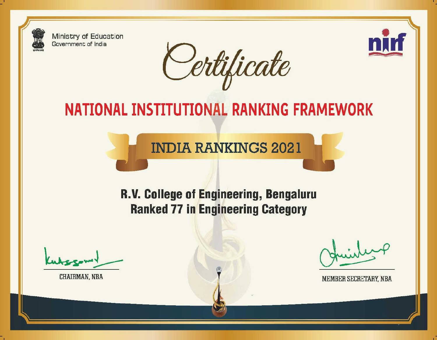**Ministry of Education** Government of India

Certificate



# NATIONAL INSTITUTIONAL RANKING FRAMEWORK

**INDIA RANKINGS 2021** 

# R.V. College of Engineering, Bengaluru **Ranked 77 in Engineering Category**

**CHAIRMAN, NBA** 

MEMBER SECRETARY, NBA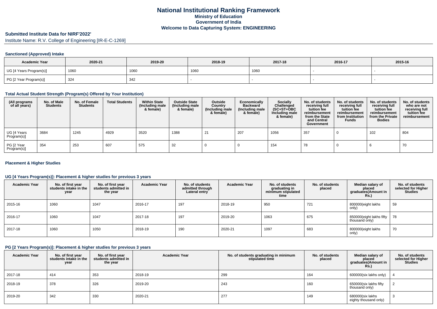# **Submitted Institute Data for NIRF'2022'**

Institute Name: R.V. College of Engineering [IR-E-C-1269]

#### **Sanctioned (Approved) Intake**

| <b>Academic Year</b>    | 2020-21 | 2019-20 | 2018-19 | 2017-18 | 2016-17 | 2015-16 |
|-------------------------|---------|---------|---------|---------|---------|---------|
| UG [4 Years Program(s)] | 1060    | 1060    | 1060    | 1060    |         |         |
| PG [2 Year Program(s)]  | 324     | 342     |         |         |         |         |

#### **Total Actual Student Strength (Program(s) Offered by Your Institution)**

| (All programs<br>of all years) | No. of Male<br><b>Students</b> | No. of Female<br><b>Students</b> | <b>Total Students</b> | <b>Within State</b><br>(Including male<br>& female) | <b>Outside State</b><br>(Including male<br>& female) | Outside<br>Country<br>(Including male<br>& female) | Economically<br><b>Backward</b><br>(Including male<br>& female) | <b>Socially</b><br>Challenged<br>$(SC+ST+OBC)$<br>Including male<br>& female) | No. of students<br>receiving full<br>tuition fee<br>reimbursement<br>from the State<br>and Central<br>Government | No. of students<br>receiving full<br>tuition fee<br>reimbursement<br>from Institution<br><b>Funds</b> | No. of students<br>receiving full<br>tuition fee<br>reimbursement<br>from the Private<br><b>Bodies</b> | No. of students<br>who are not<br>receiving full<br>tuition fee<br>reimbursement |
|--------------------------------|--------------------------------|----------------------------------|-----------------------|-----------------------------------------------------|------------------------------------------------------|----------------------------------------------------|-----------------------------------------------------------------|-------------------------------------------------------------------------------|------------------------------------------------------------------------------------------------------------------|-------------------------------------------------------------------------------------------------------|--------------------------------------------------------------------------------------------------------|----------------------------------------------------------------------------------|
| UG [4 Years<br>Program(s)]     | 3684                           | 1245                             | 4929                  | 3520                                                | 1388                                                 | 21                                                 | 207                                                             | 1056                                                                          | 357                                                                                                              |                                                                                                       | 102                                                                                                    | 804                                                                              |
| PG [2 Year<br>Program(s)]      | 354                            | 253                              | 607                   | 575                                                 | -32                                                  |                                                    |                                                                 | 154                                                                           | 78                                                                                                               |                                                                                                       |                                                                                                        | 70                                                                               |

#### **Placement & Higher Studies**

#### **UG [4 Years Program(s)]: Placement & higher studies for previous 3 years**

| <b>Academic Year</b> | No. of first year<br>students intake in the<br>year | No. of first year<br>students admitted in<br>the year | <b>Academic Year</b> | No. of students<br>admitted through<br>Lateral entry | <b>Academic Year</b> | No. of students<br>graduating in<br>minimum stipulated<br>time | No. of students<br>placed | Median salary of<br>placed<br>graduates(Amount in<br>Rs.) | No. of students<br>selected for Higher<br><b>Studies</b> |
|----------------------|-----------------------------------------------------|-------------------------------------------------------|----------------------|------------------------------------------------------|----------------------|----------------------------------------------------------------|---------------------------|-----------------------------------------------------------|----------------------------------------------------------|
| 2015-16              | 1060                                                | 1047                                                  | 2016-17              | 197                                                  | 2018-19              | 950                                                            | 721                       | 800000(eight lakhs<br>only)                               | 59                                                       |
| 2016-17              | 1060                                                | 1047                                                  | 2017-18              | 197                                                  | 2019-20              | 1063                                                           | 675                       | 850000(eight lakhs fifty<br>thousand only)                | 78                                                       |
| 2017-18              | 1060                                                | 1050                                                  | 2018-19              | 190                                                  | 2020-21              | 1097                                                           | 683                       | 800000(eight lakhs<br>only)                               | 70                                                       |

#### **PG [2 Years Program(s)]: Placement & higher studies for previous 3 years**

| <b>Academic Year</b> | No. of first year<br>students intake in the<br>year | No. of first year<br>students admitted in<br>the year | <b>Academic Year</b> | No. of students graduating in minimum<br>stipulated time | No. of students<br>placed | Median salary of<br>placed<br>graduates(Amount in<br><b>Rs.)</b> | No. of students<br>selected for Higher<br><b>Studies</b> |
|----------------------|-----------------------------------------------------|-------------------------------------------------------|----------------------|----------------------------------------------------------|---------------------------|------------------------------------------------------------------|----------------------------------------------------------|
| 2017-18              | 414                                                 | 353                                                   | 2018-19              | 299                                                      | 164                       | 600000(six lakhs only)                                           |                                                          |
| 2018-19              | 378                                                 | 326                                                   | 2019-20              | 243                                                      | 160                       | 650000(six lakhs fifty<br>thousand only)                         |                                                          |
| 2019-20              | 342                                                 | 330                                                   | 2020-21              | 277                                                      | 149                       | 680000(six lakhs<br>eighty thousand only)                        |                                                          |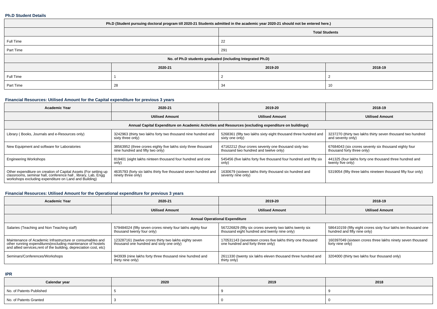#### **Ph.D Student Details**

| Ph.D (Student pursuing doctoral program till 2020-21 Students admitted in the academic year 2020-21 should not be entered here.) |         |          |         |  |  |  |  |
|----------------------------------------------------------------------------------------------------------------------------------|---------|----------|---------|--|--|--|--|
| <b>Total Students</b>                                                                                                            |         |          |         |  |  |  |  |
| Full Time                                                                                                                        |         | 22       |         |  |  |  |  |
| Part Time                                                                                                                        |         | 291      |         |  |  |  |  |
| No. of Ph.D students graduated (including Integrated Ph.D)                                                                       |         |          |         |  |  |  |  |
|                                                                                                                                  | 2020-21 | 2019-20  | 2018-19 |  |  |  |  |
| Full Time                                                                                                                        |         |          |         |  |  |  |  |
| Part Time                                                                                                                        | 28      | 34<br>10 |         |  |  |  |  |

## **Financial Resources: Utilised Amount for the Capital expenditure for previous 3 years**

| <b>Academic Year</b>                                                                                                                                                                      | 2020-21                                                                                              | 2019-20                                                                                       | 2018-19                                                                             |  |  |  |  |  |  |  |
|-------------------------------------------------------------------------------------------------------------------------------------------------------------------------------------------|------------------------------------------------------------------------------------------------------|-----------------------------------------------------------------------------------------------|-------------------------------------------------------------------------------------|--|--|--|--|--|--|--|
|                                                                                                                                                                                           | <b>Utilised Amount</b>                                                                               | <b>Utilised Amount</b>                                                                        | <b>Utilised Amount</b>                                                              |  |  |  |  |  |  |  |
|                                                                                                                                                                                           | Annual Capital Expenditure on Academic Activities and Resources (excluding expenditure on buildings) |                                                                                               |                                                                                     |  |  |  |  |  |  |  |
| Library (Books, Journals and e-Resources only)                                                                                                                                            | 3242963 (thirty two lakhs forty two thousand nine hundred and<br>sixty three only)                   | 5268361 (fifty two lakhs sixty eight thousand three hundred and<br>sixty one only)            | 3237270 (thirty two lakhs thirty seven thousand two hundred<br>and seventy only)    |  |  |  |  |  |  |  |
| New Equipment and software for Laboratories                                                                                                                                               | 38563952 (three crores eighty five lakhs sixty three thousand<br>nine hundred and fifty two only)    | 47162212 (four crores seventy one thousand sixty two<br>thousand two hundred and twelve only) | 67684043 (six crores seventy six thousand eighty four<br>thousand forty three only) |  |  |  |  |  |  |  |
| <b>Engineering Workshops</b>                                                                                                                                                              | 819401 (eight lakhs ninteen thousand four hundred and one<br>only)                                   | 545456 (five lakhs forty five thousand four hundred and fifty six<br>only)                    | 441325 (four lakhs forty one thousand three hundred and<br>twenty five only)        |  |  |  |  |  |  |  |
| Other expenditure on creation of Capital Assets (For setting up<br>classrooms, seminar hall, conference hall, library, Lab, Engq<br>workshops excluding expenditure on Land and Building) | 4635793 (forty six lakhs thirty five thousand seven hundred and<br>ninety three only)                | 1630679 (sixteen lakhs thirty thousand six hundred and<br>seventy nine only)                  | 5319054 (fifty three lakhs nineteen thousand fifty four only)                       |  |  |  |  |  |  |  |

# **Financial Resources: Utilised Amount for the Operational expenditure for previous 3 years**

| Academic Year                                                                                                                                                                                   | 2020-21                                                                                            | 2019-20                                                                                                  | 2018-19                                                                                         |  |  |  |  |  |  |
|-------------------------------------------------------------------------------------------------------------------------------------------------------------------------------------------------|----------------------------------------------------------------------------------------------------|----------------------------------------------------------------------------------------------------------|-------------------------------------------------------------------------------------------------|--|--|--|--|--|--|
|                                                                                                                                                                                                 | <b>Utilised Amount</b>                                                                             | <b>Utilised Amount</b>                                                                                   | <b>Utilised Amount</b>                                                                          |  |  |  |  |  |  |
| <b>Annual Operational Expenditure</b>                                                                                                                                                           |                                                                                                    |                                                                                                          |                                                                                                 |  |  |  |  |  |  |
| Salaries (Teaching and Non Teaching staff)                                                                                                                                                      | 579484024 (fifty seven crores ninety four lakhs eighty four<br>thousand twenty four only)          | 567226829 (fifty six crores seventy two lakhs twenty six<br>thousand eight hundred and twenty nine only) | 586410159 (fifty eight crores sixty four lakhs ten thousand one<br>hundred and fifty nine only) |  |  |  |  |  |  |
| Maintenance of Academic Infrastructure or consumables and<br>other running expenditures (excluding maintenance of hostels<br>and allied services, rent of the building, depreciation cost, etc) | 123287161 (twelve crores thirty two lakhs eighty seven<br>thousand one hundred and sixty one only) | 170531143 (seventeen crores five lakhs thirty one thousand<br>one hundred and forty three only)          | 160397049 (sixteen crores three lakhs ninety seven thousand<br>forty nine only)                 |  |  |  |  |  |  |
| Seminars/Conferences/Workshops                                                                                                                                                                  | 943939 (nine lakhs forty three thousand nine hundred and<br>thirty nine only)                      | 2611330 (twenty six lakhs eleven thousand three hundred and<br>thirty only)                              | 3204000 (thirty two lakhs four thousand only)                                                   |  |  |  |  |  |  |

**IPR**

| Calendar year            | 2020 | 2019 | 2018 |
|--------------------------|------|------|------|
| No. of Patents Published |      |      |      |
| No. of Patents Granted   |      |      |      |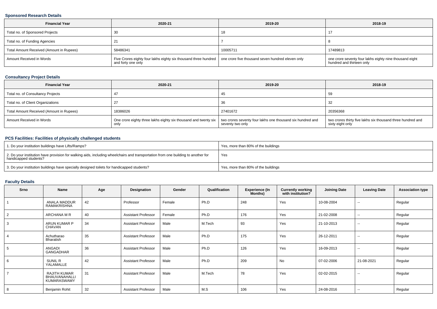#### **Sponsored Research Details**

| <b>Financial Year</b>                    | 2020-21                                                                                                                                   | 2019-20  | 2018-19                                                                              |
|------------------------------------------|-------------------------------------------------------------------------------------------------------------------------------------------|----------|--------------------------------------------------------------------------------------|
| Total no. of Sponsored Projects          |                                                                                                                                           | ιc       |                                                                                      |
| Total no. of Funding Agencies            |                                                                                                                                           |          |                                                                                      |
| Total Amount Received (Amount in Rupees) | 58486341                                                                                                                                  | 10005711 | 17489813                                                                             |
| Amount Received in Words                 | Five Crores eighty four lakhs eighty six thousand three hundred   one crore five thousand seven hundred eleven only<br>and forty one only |          | one crore seventy four lakhs eighty nine thousand eight<br>hundred and thirteen only |

## **Consultancy Project Details**

| <b>Financial Year</b>                    | 2020-21                                                                 | 2019-20                                                                        | 2018-19                                                                         |
|------------------------------------------|-------------------------------------------------------------------------|--------------------------------------------------------------------------------|---------------------------------------------------------------------------------|
| Total no. of Consultancy Projects        |                                                                         | 45                                                                             | 59                                                                              |
| Total no. of Client Organizations        |                                                                         | 36                                                                             | -32                                                                             |
| Total Amount Received (Amount in Rupees) | 18386026                                                                | 27401672                                                                       | 20356368                                                                        |
| Amount Received in Words                 | One crore eighty three lakhs eighty six thousand and twenty six<br>only | two crores seventy four lakhs one thousand six hundred and<br>seventy two only | two crores thirty five lakhs six thousand three hundred and<br>sixty eight only |

#### **PCS Facilities: Facilities of physically challenged students**

| 1. Do your institution buildings have Lifts/Ramps?                                                                                                         | Yes, more than 80% of the buildings |
|------------------------------------------------------------------------------------------------------------------------------------------------------------|-------------------------------------|
| 2. Do your institution have provision for walking aids, including wheelchairs and transportation from one building to another for<br>handicapped students? | Yes                                 |
| 3. Do your institution buildings have specially designed toilets for handicapped students?                                                                 | Yes, more than 80% of the buildings |

#### **Faculty Details**

| Srno           | Name                                                       | Age | Designation                | Gender | Qualification | <b>Experience (In</b><br>Months) | <b>Currently working</b><br>with institution? | <b>Joining Date</b> | <b>Leaving Date</b>      | <b>Association type</b> |
|----------------|------------------------------------------------------------|-----|----------------------------|--------|---------------|----------------------------------|-----------------------------------------------|---------------------|--------------------------|-------------------------|
|                | ANALA MADDUR<br>RAMAKRISHNA                                | 42  | Professor                  | Female | Ph.D          | 248                              | Yes                                           | 10-08-2004          | $\sim$                   | Regular                 |
| $\overline{2}$ | ARCHANA M R                                                | 40  | <b>Assistant Professor</b> | Female | Ph.D          | 176                              | Yes                                           | 21-02-2008          | $\sim$                   | Regular                 |
| 3              | <b>ARUN KUMAR P</b><br>CHAVAN                              | 34  | <b>Assistant Professor</b> | Male   | M.Tech        | 93                               | Yes                                           | 21-10-2013          | $\sim$                   | Regular                 |
| $\overline{4}$ | Achutharao<br>Bharatish                                    | 35  | <b>Assistant Professor</b> | Male   | Ph.D          | 175                              | Yes                                           | 26-12-2011          | --                       | Regular                 |
| 5              | ANGADI<br>GANGADHAR                                        | 36  | <b>Assistant Professor</b> | Male   | Ph.D          | 126                              | Yes                                           | 16-09-2013          | $\sim$                   | Regular                 |
| 6              | SUNIL R<br>YALAMALLE                                       | 42  | <b>Assistant Professor</b> | Male   | Ph.D          | 209                              | <b>No</b>                                     | 07-02-2006          | 21-08-2021               | Regular                 |
| $\overline{7}$ | <b>RAJITH KUMAR</b><br>BHAUVANAHALLI<br><b>KUMARASWAMY</b> | 31  | <b>Assistant Professor</b> | Male   | M.Tech        | 78                               | Yes                                           | 02-02-2015          | $\overline{\phantom{a}}$ | Regular                 |
| 8              | Benjamin Rohit                                             | 32  | <b>Assistant Professor</b> | Male   | M.S           | 106                              | Yes                                           | 24-08-2016          | $\sim$                   | Regular                 |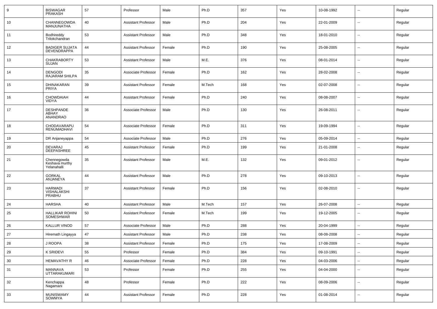| 9  | <b>BISWAGAR</b><br><b>PRAKASH</b>            | 57 | Professor                  | Male   | Ph.D   | 357 | Yes | 10-08-1992 | $\overline{a}$           | Regular |
|----|----------------------------------------------|----|----------------------------|--------|--------|-----|-----|------------|--------------------------|---------|
| 10 | CHANNEGOWDA<br>MANJUNATHA                    | 40 | <b>Assistant Professor</b> | Male   | Ph.D   | 204 | Yes | 22-01-2009 | $\sim$                   | Regular |
| 11 | Bodhireddy<br>Trilokchandran                 | 53 | <b>Assistant Professor</b> | Male   | Ph.D   | 348 | Yes | 18-01-2010 | $\sim$                   | Regular |
| 12 | <b>BADIGER SUJATA</b><br>DEVENDRAPPA         | 44 | <b>Assistant Professor</b> | Female | Ph.D   | 190 | Yes | 25-08-2005 | $\sim$                   | Regular |
| 13 | <b>CHAKRABORTY</b><br>SUJAN                  | 53 | <b>Assistant Professor</b> | Male   | M.E.   | 376 | Yes | 08-01-2014 | $\sim$                   | Regular |
| 14 | <b>DENGODI</b><br><b>RAJARAM SHILPA</b>      | 35 | Associate Professor        | Female | Ph.D   | 162 | Yes | 28-02-2008 | $\sim$                   | Regular |
| 15 | DHINAKARAN<br><b>PRIYA</b>                   | 39 | <b>Assistant Professor</b> | Female | M.Tech | 168 | Yes | 02-07-2008 | $\sim$                   | Regular |
| 16 | CHOWDAIAH<br><b>VIDYA</b>                    | 44 | <b>Assistant Professor</b> | Female | Ph.D   | 240 | Yes | 08-08-2007 | $\sim$                   | Regular |
| 17 | <b>DESHPANDE</b><br>ABHAY<br>ANANDRAO        | 36 | Associate Professor        | Male   | Ph.D   | 130 | Yes | 26-08-2011 | $\sim$                   | Regular |
| 18 | CHODAVARAPU<br><b>RENUMADHAVI</b>            | 54 | Associate Professor        | Female | Ph.D   | 311 | Yes | 19-09-1994 | --                       | Regular |
| 19 | DR Anjaneyappa                               | 54 | Associate Professor        | Male   | Ph.D   | 276 | Yes | 05-09-2014 | $\sim$                   | Regular |
| 20 | DEVARAJ<br>DEEPASHREE                        | 45 | <b>Assistant Professor</b> | Female | Ph.D   | 199 | Yes | 21-01-2008 | $\overline{\phantom{a}}$ | Regular |
| 21 | Chennegowda<br>Keshava murthy<br>Yelanahalli | 35 | <b>Assistant Professor</b> | Male   | M.E.   | 132 | Yes | 09-01-2012 | $\overline{a}$           | Regular |
| 22 | <b>GORKAL</b><br>ANJANEYA                    | 44 | <b>Assistant Professor</b> | Male   | Ph.D   | 278 | Yes | 09-10-2013 | $\overline{a}$           | Regular |
| 23 | <b>HARMADI</b><br>VISHALAKSHI<br>PRABHU      | 37 | <b>Assistant Professor</b> | Female | Ph.D   | 156 | Yes | 02-08-2010 | --                       | Regular |
| 24 | <b>HARSHA</b>                                | 40 | <b>Assistant Professor</b> | Male   | M.Tech | 157 | Yes | 26-07-2008 | --                       | Regular |
| 25 | <b>HALLIKAR ROHINI</b><br>SOMESHWAR          | 50 | <b>Assistant Professor</b> | Female | M.Tech | 199 | Yes | 19-12-2005 | $\overline{\phantom{a}}$ | Regular |
| 26 | <b>KALLUR VINOD</b>                          | 57 | Associate Professor        | Male   | Ph.D   | 288 | Yes | 20-04-1999 | Ξ.                       | Regular |
| 27 | Hiremath Lingayya                            | 47 | <b>Assistant Professor</b> | Male   | Ph.D   | 238 | Yes | 08-08-2008 |                          | Regular |
| 28 | J ROOPA                                      | 38 | <b>Assistant Professor</b> | Female | Ph.D   | 175 | Yes | 17-08-2009 | $\overline{\phantom{a}}$ | Regular |
| 29 | <b>K SRIDEVI</b>                             | 55 | Professor                  | Female | Ph.D   | 384 | Yes | 09-10-1991 | Ξ.                       | Regular |
| 30 | <b>HEMAVATHY R</b>                           | 46 | Associate Professor        | Female | Ph.D   | 228 | Yes | 04-03-2006 | $\sim$                   | Regular |
| 31 | MANNAVA<br><b>UTTARAKUMARI</b>               | 53 | Professor                  | Female | Ph.D   | 255 | Yes | 04-04-2000 | $\overline{\phantom{a}}$ | Regular |
| 32 | Kenchappa<br>Nagamani                        | 48 | Professor                  | Female | Ph.D   | 222 | Yes | 08-09-2006 | Ξ.                       | Regular |
| 33 | <b>MUNISWAMY</b><br>SOWMYA                   | 44 | <b>Assistant Professor</b> | Female | Ph.D   | 228 | Yes | 01-08-2014 | $\overline{\phantom{a}}$ | Regular |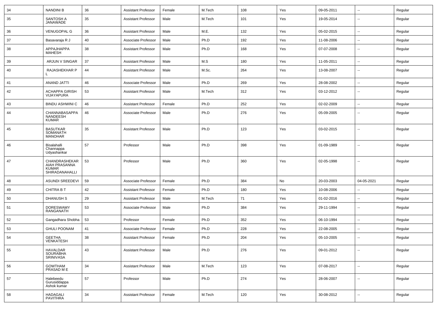| 34 | <b>NANDINI B</b>                                                 | 36 | <b>Assistant Professor</b> | Female | M.Tech | 108 | Yes | 09-05-2011 | $\sim$                   | Regular |
|----|------------------------------------------------------------------|----|----------------------------|--------|--------|-----|-----|------------|--------------------------|---------|
| 35 | SANTOSH A<br>JANAWADE                                            | 35 | <b>Assistant Professor</b> | Male   | M.Tech | 101 | Yes | 19-05-2014 | $\overline{\phantom{a}}$ | Regular |
| 36 | <b>VENUGOPAL G</b>                                               | 36 | <b>Assistant Professor</b> | Male   | M.E.   | 132 | Yes | 05-02-2015 | $\sim$                   | Regular |
| 37 | Basavaraja R J                                                   | 40 | Associate Professor        | Male   | Ph.D   | 192 | Yes | 11-08-2006 | $\overline{a}$           | Regular |
| 38 | APPAJHAPPA<br><b>MAHESH</b>                                      | 38 | <b>Assistant Professor</b> | Male   | Ph.D   | 168 | Yes | 07-07-2008 | --                       | Regular |
| 39 | ARJUN V SINGAR                                                   | 37 | <b>Assistant Professor</b> | Male   | M.S    | 180 | Yes | 11-05-2011 | $\overline{\phantom{a}}$ | Regular |
| 40 | RAJASHEKHAR P                                                    | 44 | <b>Assistant Professor</b> | Male   | M.Sc.  | 264 | Yes | 13-08-2007 | $\overline{\phantom{a}}$ | Regular |
| 41 | <b>ANAND JATTI</b>                                               | 46 | Associate Professor        | Male   | Ph.D   | 269 | Yes | 28-08-2002 | $\sim$                   | Regular |
| 42 | <b>ACHAPPA GIRISH</b><br>VIJAYAPURA                              | 53 | <b>Assistant Professor</b> | Male   | M.Tech | 312 | Yes | 03-12-2012 | $\sim$                   | Regular |
| 43 | <b>BINDU ASHWINI C</b>                                           | 46 | <b>Assistant Professor</b> | Female | Ph.D   | 252 | Yes | 02-02-2009 | $\sim$                   | Regular |
| 44 | CHANNABASAPPA<br>NANDEESH<br><b>KUMAR</b>                        | 46 | Associate Professor        | Male   | Ph.D   | 276 | Yes | 05-09-2005 | $\sim$                   | Regular |
| 45 | <b>BASUTKAR</b><br>SOMANATH<br><b>MANOHAR</b>                    | 35 | <b>Assistant Professor</b> | Male   | Ph.D   | 123 | Yes | 03-02-2015 | $\overline{\phantom{a}}$ | Regular |
| 46 | Bisalahalli<br>Channappa<br>Udyashankar                          | 57 | Professor                  | Male   | Ph.D   | 398 | Yes | 01-09-1989 | --                       | Regular |
| 47 | CHANDRASHEKAR<br>AIAH PRASANNA<br><b>KUMAR</b><br>SHIRADANAHALLI | 53 | Professor                  | Male   | Ph.D   | 360 | Yes | 02-05-1998 | --                       | Regular |
| 48 | <b>ASUNDI SREEDEVI</b>                                           | 59 | Associate Professor        | Female | Ph.D   | 384 | No  | 20-03-2003 | 04-05-2021               | Regular |
| 49 | <b>CHITRA B T</b>                                                | 42 | <b>Assistant Professor</b> | Female | Ph.D   | 180 | Yes | 10-08-2006 |                          | Regular |
| 50 | <b>DHANUSH S</b>                                                 | 29 | <b>Assistant Professor</b> | Male   | M.Tech | 71  | Yes | 01-02-2016 | --                       | Regular |
| 51 | <b>DORESWAMY</b><br>RANGANATH                                    | 53 | Associate Professor        | Male   | Ph.D   | 384 | Yes | 29-11-1994 | --                       | Regular |
| 52 | Gangadhara Shobha                                                | 53 | Professor                  | Female | Ph.D   | 352 | Yes | 06-10-1994 | $\sim$                   | Regular |
| 53 | <b>GHULI POONAM</b>                                              | 41 | Associate Professor        | Female | Ph.D   | 228 | Yes | 22-08-2005 | Ξ.                       | Regular |
| 54 | <b>GEETHA</b><br>VENKATESH                                       | 38 | Assistant Professor        | Female | Ph.D   | 204 | Yes | 05-10-2005 |                          | Regular |
| 55 | HAVALDAR<br>SOURABHA<br>SRINIVASA                                | 43 | <b>Assistant Professor</b> | Male   | Ph.D   | 276 | Yes | 09-01-2012 | Ξ.                       | Regular |
| 56 | GOWTHAM<br>PRASAD M E                                            | 34 | <b>Assistant Professor</b> | Male   | M.Tech | 123 | Yes | 07-08-2017 | Ξ.                       | Regular |
| 57 | Halebeedu<br>Gurusiddappa<br>Ashok kumar                         | 57 | Professor                  | Male   | Ph.D   | 274 | Yes | 28-06-2007 | ÷.                       | Regular |
| 58 | <b>HADAGALI</b><br>PAVITHRA                                      | 34 | <b>Assistant Professor</b> | Female | M.Tech | 120 | Yes | 30-08-2012 | $\sim$                   | Regular |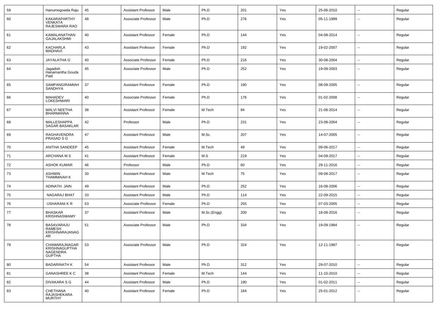| 59 | Hanumegowda Raju                                            | 45 | <b>Assistant Professor</b> | Male   | Ph.D        | 201 | Yes | 25-06-2010 | $\sim$                   | Regular |
|----|-------------------------------------------------------------|----|----------------------------|--------|-------------|-----|-----|------------|--------------------------|---------|
| 60 | KAKARAPARTHY<br><b>VENKATA</b><br>RAJESWARA RAO             | 48 | Associate Professor        | Male   | Ph.D        | 276 | Yes | 05-11-1999 | --                       | Regular |
| 61 | KAMALANATHAN<br><b>GAJALAKSHMI</b>                          | 40 | <b>Assistant Professor</b> | Female | Ph.D        | 144 | Yes | 04-08-2014 | $\sim$                   | Regular |
| 62 | <b>KACHARLA</b><br><b>MADHAVI</b>                           | 43 | <b>Assistant Professor</b> | Female | Ph.D        | 192 | Yes | 19-02-2007 | $\sim$                   | Regular |
| 63 | <b>JAYALATHA G</b>                                          | 40 | Associate Professor        | Female | Ph.D        | 216 | Yes | 30-08-2004 | $\sim$                   | Regular |
| 64 | Jagadish<br>Hanamantha Gouda<br>Patil                       | 45 | Associate Professor        | Male   | Ph.D        | 252 | Yes | 19-09-2003 | --                       | Regular |
| 65 | SAMPANGIRAMIAH<br><b>SANDHYA</b>                            | 37 | <b>Assistant Professor</b> | Female | Ph.D        | 190 | Yes | 08-09-2005 | $\sim$                   | Regular |
| 66 | <b>MAHADEV</b><br><b>LOKESHWARI</b>                         | 40 | Associate Professor        | Female | Ph.D        | 176 | Yes | 01-02-2008 | $\sim$                   | Regular |
| 67 | MALVI NEETHA<br><b>BHARMANNA</b>                            | 38 | <b>Assistant Professor</b> | Female | M.Tech      | 84  | Yes | 21-08-2014 | $\sim$                   | Regular |
| 68 | <b>MALLESHAPPA</b><br><b>SAGAR BASAKLAR</b>                 | 42 | Professor                  | Male   | Ph.D        | 231 | Yes | 23-08-2004 | $\sim$                   | Regular |
| 69 | RAGHAVENDRA<br>PRASAD S G                                   | 47 | <b>Assistant Professor</b> | Male   | M.Sc.       | 207 | Yes | 14-07-2005 | $\sim$                   | Regular |
| 70 | <b>ANITHA SANDEEP</b>                                       | 45 | <b>Assistant Professor</b> | Female | M.Tech      | 49  | Yes | 09-06-2017 | $\sim$                   | Regular |
| 71 | ARCHANA M S                                                 | 41 | <b>Assistant Professor</b> | Female | M.S         | 219 | Yes | 04-09-2017 | $\overline{\phantom{a}}$ | Regular |
| 72 | <b>ASHOK KUMAR</b>                                          | 46 | Professor                  | Male   | Ph.D        | 60  | Yes | 29-11-2016 |                          | Regular |
| 73 | <b>ASHWIN</b><br>THAMMAIAH K                                | 30 | <b>Assistant Professor</b> | Male   | M.Tech      | 75  | Yes | 09-08-2017 | --                       | Regular |
| 74 | ADINATH JAIN                                                | 49 | <b>Assistant Professor</b> | Male   | Ph.D        | 252 | Yes | 16-08-2006 | $\overline{\phantom{a}}$ | Regular |
| 75 | <b>NAGARAJ BHAT</b>                                         | 33 | <b>Assistant Professor</b> | Male   | Ph.D        | 114 | Yes | 22-09-2015 |                          | Regular |
| 76 | USHARANI K R                                                | 53 | Associate Professor        | Female | Ph.D        | 255 | Yes | 07-03-2005 | $\overline{\phantom{a}}$ | Regular |
| 77 | <b>BHASKAR</b><br><b>KRISHNASWAMY</b>                       | 37 | <b>Assistant Professor</b> | Male   | M.Sc.(Engg) | 200 | Yes | 18-08-2016 | $\overline{\phantom{a}}$ | Regular |
| 78 | <b>BASAVARAJU</b><br>RAMESH<br>KRISHNARAJANAG<br>AR         | 51 | Associate Professor        | Male   | Ph.D        | 334 | Yes | 19-09-1994 | $\overline{\phantom{a}}$ | Regular |
| 79 | CHAMARAJNAGAR<br>KRISHNAGUPTHA<br>NAGENDRA<br><b>GUPTHA</b> | 53 | Associate Professor        | Male   | Ph.D        | 324 | Yes | 12-11-1997 | --                       | Regular |
| 80 | <b>BADARINATH K</b>                                         | 54 | <b>Assistant Professor</b> | Male   | Ph.D        | 312 | Yes | 29-07-2010 | $\sim$                   | Regular |
| 81 | <b>GANASHREE K C</b>                                        | 38 | <b>Assistant Professor</b> | Female | M.Tech      | 144 | Yes | 11-10-2010 | $\sim$                   | Regular |
| 82 | <b>DIVAKARA S G</b>                                         | 44 | <b>Assistant Professor</b> | Male   | Ph.D        | 190 | Yes | 01-02-2011 | $\mathbf{u}$             | Regular |
| 83 | CHETHANA<br>RAJASHEKARA<br><b>MURTHY</b>                    | 40 | <b>Assistant Professor</b> | Female | Ph.D        | 184 | Yes | 25-01-2012 | $\overline{\phantom{a}}$ | Regular |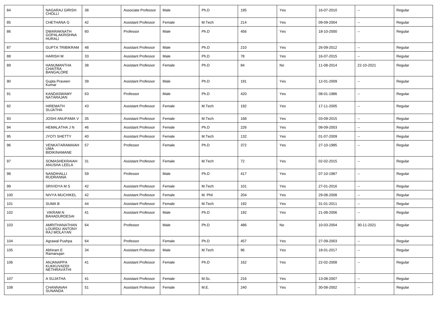| 84  | NAGARAJ GIRISH<br><b>CHOLLI</b>                         | 38 | Associate Professor        | Male   | Ph.D    | 195 | Yes | 16-07-2010 | $\sim$                   | Regular |
|-----|---------------------------------------------------------|----|----------------------------|--------|---------|-----|-----|------------|--------------------------|---------|
| 85  | CHETHANA G                                              | 42 | Assistant Professor        | Female | M.Tech  | 214 | Yes | 09-09-2004 | ⊷.                       | Regular |
| 86  | DWARAKNATH<br><b>GOPALAKRISHNA</b><br><b>HURALI</b>     | 60 | Professor                  | Male   | Ph.D    | 456 | Yes | 18-10-2000 | ۰.                       | Regular |
| 87  | <b>GUPTA TRIBIKRAM</b>                                  | 48 | <b>Assistant Professor</b> | Male   | Ph.D    | 210 | Yes | 26-09-2012 | ⊷.                       | Regular |
| 88  | <b>HARISH M</b>                                         | 33 | Assistant Professor        | Male   | Ph.D    | 78  | Yes | 16-07-2015 | $\overline{a}$           | Regular |
| 89  | <b>HANUMANTHA</b><br><b>CHAITRA</b><br><b>BANGALORE</b> | 38 | <b>Assistant Professor</b> | Female | Ph.D    | 84  | No  | 11-08-2014 | 22-10-2021               | Regular |
| 90  | Gupta Praveen<br>Kumar                                  | 39 | <b>Assistant Professor</b> | Male   | Ph.D    | 191 | Yes | 12-01-2009 | $\overline{\phantom{a}}$ | Regular |
| 91  | <b>KANDASWAMY</b><br>NATARAJAN                          | 63 | Professor                  | Male   | Ph.D    | 420 | Yes | 08-01-1986 | ۰.                       | Regular |
| 92  | <b>HIREMATH</b><br><b>SUJATHA</b>                       | 43 | Assistant Professor        | Female | M.Tech  | 192 | Yes | 17-11-2005 | $\overline{a}$           | Regular |
| 93  | JOSHI ANUPAMA V                                         | 35 | Assistant Professor        | Female | M.Tech  | 168 | Yes | 03-09-2015 | $\overline{a}$           | Regular |
| 94  | <b>HEMALATHA J N</b>                                    | 46 | <b>Assistant Professor</b> | Female | Ph.D    | 226 | Yes | 08-09-2003 | $\overline{a}$           | Regular |
| 95  | <b>JYOTI SHETTY</b>                                     | 40 | <b>Assistant Professor</b> | Female | M.Tech  | 132 | Yes | 01-07-2009 | $\overline{\phantom{a}}$ | Regular |
| 96  | VENKATARAMAIAH<br>UMA<br><b>BIDIKINAMANE</b>            | 57 | Professor                  | Female | Ph.D    | 372 | Yes | 27-10-1995 | --                       | Regular |
| 97  | SOMASHEKRAIAH<br>ANUSHA LEELA                           | 31 | <b>Assistant Professor</b> | Female | M.Tech  | 72  | Yes | 02-02-2015 | --                       | Regular |
| 98  | NANDIHALLI<br><b>RUDRANNA</b>                           | 59 | Professor                  | Male   | Ph.D    | 417 | Yes | 07-10-1987 | $\overline{a}$           | Regular |
| 99  | <b>SRIVIDYAMS</b>                                       | 42 | <b>Assistant Professor</b> | Female | M.Tech  | 101 | Yes | 27-01-2016 | ۰.                       | Regular |
| 100 | <b>NIVYA MUCHIKEL</b>                                   | 42 | <b>Assistant Professor</b> | Female | M. Phil | 204 | Yes | 29-08-2008 | $\overline{a}$           | Regular |
| 101 | <b>SUMA B</b>                                           | 44 | Assistant Professor        | Female | M.Tech  | 192 | Yes | 31-01-2011 | $\sim$                   | Regular |
| 102 | <b>VIKRAM N</b><br><b>BAHADURDESAI</b>                  | 41 | Assistant Professor        | Male   | Ph.D    | 192 | Yes | 21-08-2006 | ۰.                       | Regular |
| 103 | AMRITHANATHAN<br>LOURDU ANTONY<br>RAJ MOLAYAN           | 64 | Professor                  | Male   | Ph.D    | 486 | No  | 10-03-2004 | 30-11-2021               | Regular |
| 104 | Agrawal Pushpa                                          | 64 | Professor                  | Female | Ph.D    | 457 | Yes | 27-09-2003 | $\sim$                   | Regular |
| 105 | Abhiram E<br>Ramanujan                                  | 34 | <b>Assistant Professor</b> | Male   | M.Tech  | 96  | Yes | 18-01-2017 | н.                       | Regular |
| 106 | ANJANAPPA<br>KUKKUVADDI<br>NETHRAVATHI                  | 41 | <b>Assistant Professor</b> | Female | Ph.D    | 162 | Yes | 22-02-2008 | н.                       | Regular |
| 107 | A SUJATHA                                               | 41 | <b>Assistant Professor</b> | Female | M.Sc.   | 216 | Yes | 13-08-2007 | $\sim$                   | Regular |
| 108 | CHANNAIAH<br>SUNANDA                                    | 51 | <b>Assistant Professor</b> | Female | M.E.    | 240 | Yes | 30-08-2002 | ⊷.                       | Regular |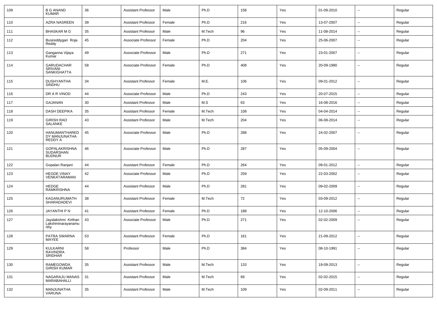| 109 | <b>B G ANAND</b><br><b>KUMAR</b>                   | 36 | Assistant Professor        | Male   | Ph.D   | 158 | Yes | 01-09-2010 | $\overline{\phantom{a}}$ | Regular |
|-----|----------------------------------------------------|----|----------------------------|--------|--------|-----|-----|------------|--------------------------|---------|
| 110 | <b>AZRA NASREEN</b>                                | 39 | <b>Assistant Professor</b> | Female | Ph.D   | 216 | Yes | 13-07-2007 | ⊷.                       | Regular |
| 111 | BHASKAR M G                                        | 35 | <b>Assistant Professor</b> | Male   | M.Tech | 96  | Yes | 11-08-2014 | ۰.                       | Regular |
| 112 | Busireddygari Roja<br>Reddy                        | 45 | Associate Professor        | Female | Ph.D   | 204 | Yes | 25-06-2007 | ۰.                       | Regular |
| 113 | Ganganna Vijaya<br>Kumar                           | 49 | Associate Professor        | Male   | Ph.D   | 271 | Yes | 23-01-2007 | --                       | Regular |
| 114 | GARUDACHAR<br>SRIVANI<br><b>SANKIGHATTA</b>        | 58 | Associate Professor        | Female | Ph.D   | 408 | Yes | 20-09-1990 | ۰.                       | Regular |
| 115 | DUSHYANTHA<br>SINDHU                               | 34 | Assistant Professor        | Female | M.E.   | 106 | Yes | 09-01-2012 | $\overline{\phantom{a}}$ | Regular |
| 116 | DR A R VINOD                                       | 44 | Associate Professor        | Male   | Ph.D   | 243 | Yes | 20-07-2015 | ⊷.                       | Regular |
| 117 | GAJANAN                                            | 30 | <b>Assistant Professor</b> | Male   | M.S    | 63  | Yes | 16-08-2016 | $\overline{\phantom{a}}$ | Regular |
| 118 | <b>DASH DEEPIKA</b>                                | 35 | <b>Assistant Professor</b> | Female | M.Tech | 108 | Yes | 04-04-2014 | $\overline{a}$           | Regular |
| 119 | <b>GIRISH RAO</b><br>SALANKE                       | 43 | <b>Assistant Professor</b> | Male   | M.Tech | 204 | Yes | 06-08-2014 | $\overline{\phantom{a}}$ | Regular |
| 120 | HANUMANTHARED<br>DY MANJUNATHA<br>REDDY A          | 45 | Associate Professor        | Male   | Ph.D   | 288 | Yes | 24-02-2007 | $\overline{a}$           | Regular |
| 121 | <b>GOPALAKRISHNA</b><br>SUDARSHAN<br><b>BUDNUR</b> | 46 | Associate Professor        | Male   | Ph.D   | 287 | Yes | 05-09-2004 | --                       | Regular |
| 122 | Gopalan Ranjani                                    | 44 | <b>Assistant Professor</b> | Female | Ph.D   | 264 | Yes | 09-01-2012 | $\overline{a}$           | Regular |
| 123 | <b>HEGDE VINAY</b><br>VENKATARAMAN                 | 42 | Associate Professor        | Male   | Ph.D   | 259 | Yes | 22-03-2002 | --                       | Regular |
| 124 | <b>HEDGE</b><br><b>RAMKRISHNA</b>                  | 44 | <b>Assistant Professor</b> | Male   | Ph.D   | 281 | Yes | 09-02-2009 | --                       | Regular |
| 125 | KAGANURUMATH<br>SHARADADEVI                        | 38 | <b>Assistant Professor</b> | Female | M.Tech | 72  | Yes | 03-09-2012 | --                       | Regular |
| 126 | JAYANTHI P N                                       | 41 | <b>Assistant Professor</b> | Female | Ph.D   | 188 | Yes | 12-10-2006 | $\overline{a}$           | Regular |
| 127 | Jayalakshmi Kirthan<br>Lakshminarayanamu<br>rthy   | 43 | Associate Professor        | Male   | Ph.D   | 271 | Yes | 02-02-2009 | $\overline{\phantom{a}}$ | Regular |
| 128 | PATRA SWARNA<br>MAYEE                              | 53 | <b>Assistant Professor</b> | Female | Ph.D   | 161 | Yes | 21-09-2012 | $\overline{a}$           | Regular |
| 129 | KULKARNI<br><b>RAVINDRA</b><br><b>SRIDHAR</b>      | 58 | Professor                  | Male   | Ph.D   | 384 | Yes | 08-10-1991 | $\overline{a}$           | Regular |
| 130 | RAMEGOWDA<br>GIRISH KUMAR                          | 35 | <b>Assistant Professor</b> | Male   | M.Tech | 133 | Yes | 19-09-2013 | $\overline{a}$           | Regular |
| 131 | NAGARAJU MANAS<br>MARABAHALLI                      | 31 | Assistant Professor        | Male   | M.Tech | 69  | Yes | 02-02-2015 | Ξ.                       | Regular |
| 132 | MANJUNATHA<br>VARUNA                               | 35 | <b>Assistant Professor</b> | Male   | M.Tech | 109 | Yes | 02-09-2011 | $\overline{a}$           | Regular |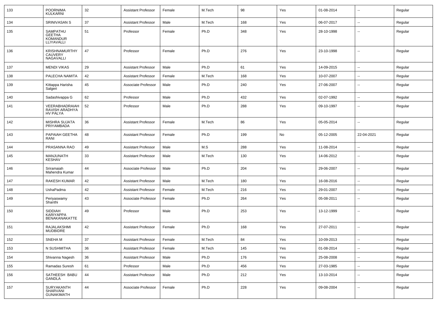| 133 | <b>POORNIMA</b><br><b>KULKARNI</b>                         | 32 | Assistant Professor        | Female | M.Tech | 98  | Yes | 01-08-2014 | $\overline{\phantom{a}}$ | Regular |
|-----|------------------------------------------------------------|----|----------------------------|--------|--------|-----|-----|------------|--------------------------|---------|
| 134 | <b>SRINIVASAN S</b>                                        | 37 | <b>Assistant Professor</b> | Male   | M.Tech | 168 | Yes | 06-07-2017 | ⊷.                       | Regular |
| 135 | SAMPATHU<br><b>GEETHA</b><br><b>KOMANDUR</b><br>LLIYAVALLI | 51 | Professor                  | Female | Ph.D   | 348 | Yes | 28-10-1998 | --                       | Regular |
| 136 | <b>KRISHNAMURTHY</b><br><b>CAUVERY</b><br>NAGAVALLI        | 47 | Professor                  | Female | Ph.D   | 276 | Yes | 23-10-1998 | $\overline{\phantom{a}}$ | Regular |
| 137 | <b>MENDI VIKAS</b>                                         | 29 | <b>Assistant Professor</b> | Male   | Ph.D   | 61  | Yes | 14-09-2015 | $\overline{a}$           | Regular |
| 138 | PALECHA NAMITA                                             | 42 | <b>Assistant Professor</b> | Female | M.Tech | 168 | Yes | 10-07-2007 | $\overline{\phantom{a}}$ | Regular |
| 139 | Kittappa Harisha<br>Salgeri                                | 45 | Associate Professor        | Male   | Ph.D   | 240 | Yes | 27-06-2007 | $\overline{\phantom{a}}$ | Regular |
| 140 | Sadashivappa G                                             | 62 | Professor                  | Male   | Ph.D   | 432 | Yes | 02-07-1992 | ⊷.                       | Regular |
| 141 | VEERABHADRAIAH<br>RAVISH ARADHYA<br><b>HV PALYA</b>        | 52 | Professor                  | Male   | Ph.D   | 288 | Yes | 09-10-1997 | --                       | Regular |
| 142 | <b>MISHRA SUJATA</b><br>PRIYAMBADA                         | 36 | Assistant Professor        | Female | M.Tech | 86  | Yes | 05-05-2014 | ⊷.                       | Regular |
| 143 | PAPAIAH GEETHA<br>RANI                                     | 48 | <b>Assistant Professor</b> | Female | Ph.D   | 199 | No  | 05-12-2005 | 22-04-2021               | Regular |
| 144 | PRASANNA RAO                                               | 49 | <b>Assistant Professor</b> | Male   | M.S    | 288 | Yes | 11-08-2014 | $\overline{\phantom{a}}$ | Regular |
| 145 | MANJUNATH<br>KESHAV                                        | 33 | <b>Assistant Professor</b> | Male   | M.Tech | 130 | Yes | 14-06-2012 | --                       | Regular |
| 146 | Sriramaiah<br>Mahendra Kumar                               | 44 | Associate Professor        | Male   | Ph.D   | 204 | Yes | 29-06-2007 | --                       | Regular |
| 147 | <b>RAKESH KUMAR</b>                                        | 42 | <b>Assistant Professor</b> | Male   | M.Tech | 180 | Yes | 16-08-2016 | --                       | Regular |
| 148 | UshaPadma                                                  | 42 | <b>Assistant Professor</b> | Female | M.Tech | 216 | Yes | 29-01-2007 | --                       | Regular |
| 149 | Periyaswamy<br>Shanthi                                     | 43 | Associate Professor        | Female | Ph.D   | 264 | Yes | 05-08-2011 | --                       | Regular |
| 150 | <b>SIDDIAH</b><br>KARIYAPPA<br>BENAKANAKATTE               | 49 | Professor                  | Male   | Ph.D   | 253 | Yes | 13-12-1999 | --                       | Regular |
| 151 | RAJALAKSHMI<br><b>MUDBIDRE</b>                             | 42 | <b>Assistant Professor</b> | Female | Ph.D   | 168 | Yes | 27-07-2011 | -−                       | Regular |
| 152 | SNEHA M                                                    | 37 | Assistant Professor        | Female | M.Tech | 84  | Yes | 10-09-2013 | $\sim$                   | Regular |
| 153 | N SUSHMITHA                                                | 36 | <b>Assistant Professor</b> | Female | M.Tech | 145 | Yes | 01-08-2014 | $\mathbf{u}$             | Regular |
| 154 | Shivanna Nagesh                                            | 36 | Assistant Professor        | Male   | Ph.D   | 176 | Yes | 25-08-2008 | Щ,                       | Regular |
| 155 | Ramadas Suresh                                             | 61 | Professor                  | Male   | Ph.D   | 456 | Yes | 27-03-1985 | $\sim$                   | Regular |
| 156 | SATHEESH BABU<br>GANDLA                                    | 44 | <b>Assistant Professor</b> | Male   | Ph.D   | 212 | Yes | 13-10-2014 | $\sim$                   | Regular |
| 157 | SURYAKANTH<br>SHARVANI<br><b>GUNAKIMATH</b>                | 44 | Associate Professor        | Female | Ph.D   | 228 | Yes | 09-08-2004 | $\sim$                   | Regular |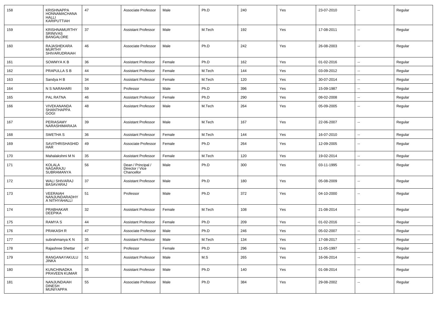| 158 | <b>KRISHNAPPA</b><br>HONNAMACHANA<br><b>HALLI</b><br>KARIPUTTIAH | 47 | Associate Professor                                 | Male   | Ph.D   | 240 | Yes | 23-07-2010 |                          | Regular |
|-----|------------------------------------------------------------------|----|-----------------------------------------------------|--------|--------|-----|-----|------------|--------------------------|---------|
| 159 | <b>KRISHNAMURTHY</b><br>SRINIVAS<br><b>BANGALORE</b>             | 37 | <b>Assistant Professor</b>                          | Male   | M.Tech | 192 | Yes | 17-08-2011 | $\overline{\phantom{a}}$ | Regular |
| 160 | RAJASHEKARA<br><b>MURTHY</b><br><b>SHIVARUDRAIAH</b>             | 46 | Associate Professor                                 | Male   | Ph.D   | 242 | Yes | 26-08-2003 | $\overline{\phantom{a}}$ | Regular |
| 161 | SOWMYA K B                                                       | 36 | <b>Assistant Professor</b>                          | Female | Ph.D   | 162 | Yes | 01-02-2016 | -−                       | Regular |
| 162 | <b>PRAPULLA S B</b>                                              | 44 | <b>Assistant Professor</b>                          | Female | M.Tech | 144 | Yes | 03-09-2012 | $\sim$                   | Regular |
| 163 | Sandya H B                                                       | 34 | <b>Assistant Professor</b>                          | Female | M.Tech | 120 | Yes | 30-07-2014 | ⊷.                       | Regular |
| 164 | N S NARAHARI                                                     | 59 | Professor                                           | Male   | Ph.D   | 396 | Yes | 15-09-1987 | н.                       | Regular |
| 165 | PAL RATNA                                                        | 46 | <b>Assistant Professor</b>                          | Female | Ph.D   | 290 | Yes | 08-02-2008 | ⊷.                       | Regular |
| 166 | VIVEKANANDA<br>SHANTHAPPA<br>GOGI                                | 48 | Assistant Professor                                 | Male   | M.Tech | 264 | Yes | 05-09-2005 | --                       | Regular |
| 167 | PERIASAMY<br>NARASHIMARAJA                                       | 39 | <b>Assistant Professor</b>                          | Male   | M.Tech | 167 | Yes | 22-06-2007 | ⊷.                       | Regular |
| 168 | SWETHA S                                                         | 36 | <b>Assistant Professor</b>                          | Female | M.Tech | 144 | Yes | 16-07-2010 | $\sim$                   | Regular |
| 169 | SAVITHRISHASHID<br>HAR                                           | 49 | Associate Professor                                 | Female | Ph.D   | 264 | Yes | 12-09-2005 | $\overline{\phantom{a}}$ | Regular |
| 170 | Mahalakshmi M N                                                  | 35 | <b>Assistant Professor</b>                          | Female | M.Tech | 120 | Yes | 19-02-2014 | --                       | Regular |
| 171 | KOLALA<br>NAGARAJU<br><b>SUBRAMANYA</b>                          | 56 | Dean / Principal /<br>Director / Vice<br>Chancellor | Male   | Ph.D   | 300 | Yes | 03-11-1995 | --                       | Regular |
| 172 | WALI SHIVARAJ<br><b>BASAVARAJ</b>                                | 37 | <b>Assistant Professor</b>                          | Male   | Ph.D   | 180 | Yes | 05-08-2009 | --                       | Regular |
| 173 | VEERAIAH<br>NANJUNDARADHY<br>A NITHYAHALLI                       | 51 | Professor                                           | Male   | Ph.D   | 372 | Yes | 04-10-2000 | --                       | Regular |
| 174 | PRABHAKAR<br><b>DEEPIKA</b>                                      | 32 | <b>Assistant Professor</b>                          | Female | M.Tech | 108 | Yes | 21-08-2014 | ⊷.                       | Regular |
| 175 | RAMYA S                                                          | 44 | <b>Assistant Professor</b>                          | Female | Ph.D   | 209 | Yes | 01-02-2016 | ⊷.                       | Regular |
| 176 | PRAKASH R                                                        | 47 | Associate Professor                                 | Male   | Ph.D   | 246 | Yes | 05-02-2007 | $\overline{\phantom{a}}$ | Regular |
| 177 | subrahmanya K N                                                  | 35 | Assistant Professor                                 | Male   | M.Tech | 134 | Yes | 17-08-2017 | --                       | Regular |
| 178 | Rajashree Shettar                                                | 47 | Professor                                           | Female | Ph.D   | 296 | Yes | 11-05-1997 | $\overline{\phantom{a}}$ | Regular |
| 179 | RANGANAYAKULU<br>JINKA                                           | 51 | <b>Assistant Professor</b>                          | Male   | M.S    | 265 | Yes | 16-06-2014 | $\sim$                   | Regular |
| 180 | KUNCHINADKA<br>PRAVEEN KUMAR                                     | 35 | <b>Assistant Professor</b>                          | Male   | Ph.D   | 140 | Yes | 01-08-2014 | $\sim$                   | Regular |
| 181 | NANJUNDAIAH<br><b>DINESH</b><br><b>MUNIYAPPA</b>                 | 55 | Associate Professor                                 | Male   | Ph.D   | 384 | Yes | 29-08-2002 | $\overline{\phantom{a}}$ | Regular |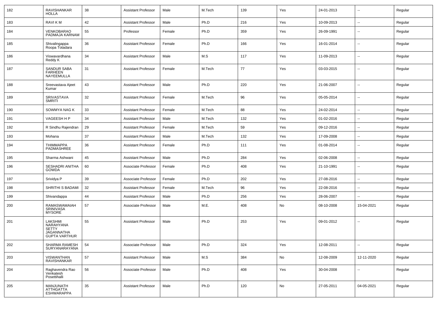| 182 | <b>RAVISHANKAR</b><br><b>HOLLA</b>                                         | 38     | Assistant Professor        | Male   | M.Tech | 139 | Yes | 24-01-2013 | $\overline{\phantom{a}}$ | Regular |
|-----|----------------------------------------------------------------------------|--------|----------------------------|--------|--------|-----|-----|------------|--------------------------|---------|
| 183 | <b>RAVIKM</b>                                                              | 42     | <b>Assistant Professor</b> | Male   | Ph.D   | 216 | Yes | 10-09-2013 | $\sim$                   | Regular |
| 184 | VENKOBARAO<br>PADMAJA KARNAM                                               | 55     | Professor                  | Female | Ph.D   | 359 | Yes | 26-09-1991 | --                       | Regular |
| 185 | Shivalingappa<br>Roopa Totadara                                            | 36     | Assistant Professor        | Female | Ph.D   | 166 | Yes | 16-01-2014 | $\overline{\phantom{a}}$ | Regular |
| 186 | Viswavardhana<br>Reddy K                                                   | 34     | Assistant Professor        | Male   | M.S    | 117 | Yes | 11-09-2013 | $\overline{\phantom{a}}$ | Regular |
| 187 | SANDUR SABA<br><b>FARHEEN</b><br><b>NAYEEMULLA</b>                         | 31     | Assistant Professor        | Female | M.Tech | 77  | Yes | 03-03-2015 | $\overline{a}$           | Regular |
| 188 | Sreevastava Ajeet<br>Kumar                                                 | 43     | Assistant Professor        | Male   | Ph.D   | 220 | Yes | 21-06-2007 | $\sim$                   | Regular |
| 189 | SRIVASTAVA<br><b>SMRITI</b>                                                | 32     | Assistant Professor        | Female | M.Tech | 96  | Yes | 05-05-2014 | $\sim$                   | Regular |
| 190 | SOWMYA NAG K                                                               | 33     | Assistant Professor        | Female | M.Tech | 88  | Yes | 24-02-2014 | $\sim$                   | Regular |
| 191 | VAGEESH H P                                                                | 34     | <b>Assistant Professor</b> | Male   | M.Tech | 132 | Yes | 01-02-2016 | --                       | Regular |
| 192 | R Sindhu Rajendran                                                         | 29     | <b>Assistant Professor</b> | Female | M.Tech | 59  | Yes | 09-12-2016 | $\overline{\phantom{a}}$ | Regular |
| 193 | Mohana                                                                     | 37     | <b>Assistant Professor</b> | Male   | M.Tech | 132 | Yes | 17-09-2008 | $\sim$                   | Regular |
| 194 | THIMMAPPA<br>PADMASHREE                                                    | 36     | <b>Assistant Professor</b> | Female | Ph.D   | 111 | Yes | 01-08-2014 | $\overline{\phantom{a}}$ | Regular |
| 195 | Sharma Ashwani                                                             | 45     | <b>Assistant Professor</b> | Male   | Ph.D   | 284 | Yes | 02-06-2008 | $\mathbf{u}$             | Regular |
| 196 | SESHADRI ANITHA<br><b>GOWDA</b>                                            | 60     | Associate Professor        | Female | Ph.D   | 408 | Yes | 21-10-1991 | $\sim$                   | Regular |
| 197 | Srividya P                                                                 | 39     | Associate Professor        | Female | Ph.D   | 202 | Yes | 27-08-2016 | $\sim$                   | Regular |
| 198 | SHRITHI S BADAMI                                                           | 32     | <b>Assistant Professor</b> | Female | M.Tech | 96  | Yes | 22-08-2016 | $\sim$                   | Regular |
| 199 | Shivandappa                                                                | 44     | Assistant Professor        | Male   | Ph.D   | 256 | Yes | 28-06-2007 |                          | Regular |
| 200 | RAMASWAMAIAH<br><b>SRINIVASA</b><br><b>MYSORE</b>                          | 57     | Associate Professor        | Male   | M.E.   | 408 | No  | 08-10-2008 | 15-04-2021               | Regular |
| 201 | LAKSHMI<br>NARAHYANA<br><b>SETTY</b><br>JAGANNATHA<br><b>GUPTA VARTHUR</b> | 55     | Assistant Professor        | Male   | Ph.D   | 253 | Yes | 09-01-2012 | --                       | Regular |
| 202 | SHARMA RAMESH<br>SURYANARAYANA                                             | 54     | Associate Professor        | Male   | Ph.D   | 324 | Yes | 12-08-2011 | $\mathbf{u}$             | Regular |
| 203 | VISWANTHAN<br><b>RAVISHANKAR</b>                                           | 57     | <b>Assistant Professor</b> | Male   | M.S    | 384 | No  | 12-08-2009 | 12-11-2020               | Regular |
| 204 | Raghavendra Rao<br>Venkatesh<br>Posettihalli                               | 56     | Associate Professor        | Male   | Ph.D   | 408 | Yes | 30-04-2008 | $\mathbf{u}$             | Regular |
| 205 | MANJUNATH<br><b>ATTHGATTA</b><br><b>ESHWARAPPA</b>                         | $35\,$ | <b>Assistant Professor</b> | Male   | Ph.D   | 120 | No  | 27-05-2011 | 04-05-2021               | Regular |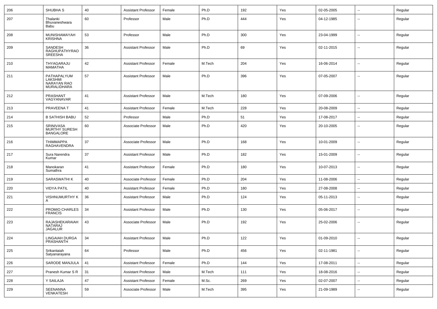| 206 | SHUBHA <sub>S</sub>                                         | 40 | <b>Assistant Professor</b> | Female | Ph.D   | 192 | Yes | 02-05-2005 | $\sim$                   | Regular |
|-----|-------------------------------------------------------------|----|----------------------------|--------|--------|-----|-----|------------|--------------------------|---------|
| 207 | Thalanki<br>Bhuvaneshwara<br>Babu                           | 60 | Professor                  | Male   | Ph.D   | 444 | Yes | 04-12-1985 | $\overline{a}$           | Regular |
| 208 | MUNISHAMAYAH<br><b>KRISHNA</b>                              | 53 | Professor                  | Male   | Ph.D   | 300 | Yes | 23-04-1999 | $\sim$                   | Regular |
| 209 | SANDESH<br><b>RAGHUPATHYRAO</b><br>SREESHA                  | 36 | <b>Assistant Professor</b> | Male   | Ph.D   | 69  | Yes | 02-11-2015 | $\mathbf{u}$             | Regular |
| 210 | THYAGARAJU<br>MAMATHA                                       | 42 | <b>Assistant Professor</b> | Female | M.Tech | 204 | Yes | 16-06-2014 | $\overline{\phantom{a}}$ | Regular |
| 211 | PATHAPALYUM<br>LAKSHMI<br><b>NARAYAN RAO</b><br>MURALIDHARA | 57 | <b>Assistant Professor</b> | Male   | Ph.D   | 396 | Yes | 07-05-2007 | $\overline{\phantom{a}}$ | Regular |
| 212 | PRASHANT<br>VAGYANAVAR                                      | 41 | <b>Assistant Professor</b> | Male   | M.Tech | 180 | Yes | 07-09-2006 | --                       | Regular |
| 213 | PRAVEENA T                                                  | 41 | <b>Assistant Professor</b> | Female | M.Tech | 228 | Yes | 20-08-2009 | $\mathbf{u}$             | Regular |
| 214 | <b>B SATHISH BABU</b>                                       | 52 | Professor                  | Male   | Ph.D   | 51  | Yes | 17-08-2017 | $\overline{\phantom{a}}$ | Regular |
| 215 | SRINIVASA<br><b>MURTHY SURESH</b><br><b>BANGALORE</b>       | 60 | Associate Professor        | Male   | Ph.D   | 420 | Yes | 20-10-2005 | $\overline{\phantom{a}}$ | Regular |
| 216 | <b>THIMMAPPA</b><br>RAGHAVENDRA                             | 37 | Associate Professor        | Male   | Ph.D   | 168 | Yes | 10-01-2009 | $\sim$                   | Regular |
| 217 | Sura Narendra<br>Kumar                                      | 37 | <b>Assistant Professor</b> | Male   | Ph.D   | 182 | Yes | 15-01-2009 | $\sim$                   | Regular |
| 218 | Manokaran<br>Sumathra                                       | 41 | <b>Assistant Professor</b> | Female | Ph.D   | 180 | Yes | 10-07-2013 | $\sim$                   | Regular |
| 219 | SARASWATHI K                                                | 40 | Associate Professor        | Female | Ph.D   | 204 | Yes | 11-08-2006 | $\sim$                   | Regular |
| 220 | <b>VIDYA PATIL</b>                                          | 40 | <b>Assistant Professor</b> | Female | Ph.D   | 180 | Yes | 27-08-2008 | $\sim$                   | Regular |
| 221 | VISHNUMURTHY K<br>A                                         | 36 | <b>Assistant Professor</b> | Male   | Ph.D   | 124 | Yes | 05-11-2013 | $\sim$                   | Regular |
| 222 | PROMIO CHARLES<br><b>FRANCIS</b>                            | 34 | <b>Assistant Professor</b> | Male   | Ph.D   | 130 | Yes | 05-06-2017 | $\sim$                   | Regular |
| 223 | RAJASHEKARAIAH<br>NATARAJ<br><b>JAGALUR</b>                 | 43 | Associate Professor        | Male   | Ph.D   | 192 | Yes | 25-02-2006 | $\overline{\phantom{a}}$ | Regular |
| 224 | LINGAIAH DURGA<br>PRASHANTH                                 | 34 | Assistant Professor        | Male   | Ph.D   | 122 | Yes | 01-09-2010 |                          | Regular |
| 225 | Srikantaiah<br>Satyanarayana                                | 64 | Professor                  | Male   | Ph.D   | 456 | Yes | 02-11-1981 | $\sim$                   | Regular |
| 226 | SARODE MANJULA                                              | 41 | <b>Assistant Professor</b> | Female | Ph.D   | 144 | Yes | 17-08-2011 | $\sim$                   | Regular |
| 227 | Pranesh Kumar S R                                           | 31 | Assistant Professor        | Male   | M.Tech | 111 | Yes | 18-08-2016 | $\sim$                   | Regular |
| 228 | Y SAILAJA                                                   | 47 | <b>Assistant Professor</b> | Female | M.Sc.  | 269 | Yes | 02-07-2007 | $\sim$                   | Regular |
| 229 | SEENANNA<br>VENKATESH                                       | 59 | Associate Professor        | Male   | M.Tech | 395 | Yes | 21-09-1989 | $\sim$                   | Regular |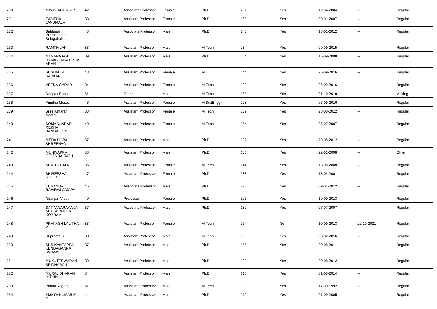| 230 | <b>MINAL MOHARIR</b>                                | 42 | Associate Professor        | Female | Ph.D        | 261 | Yes | 12-04-2004 | --                       | Regular  |
|-----|-----------------------------------------------------|----|----------------------------|--------|-------------|-----|-----|------------|--------------------------|----------|
| 231 | <b>TABITHA</b><br>JANUMALA                          | 38 | <b>Assistant Professor</b> | Female | Ph.D        | 163 | Yes | 09-01-2007 | --                       | Regular  |
| 232 | Siddaiah<br>Premananda<br>Belagahalli               | 43 | Associate Professor        | Male   | Ph.D        | 240 | Yes | 13-01-2012 | --                       | Regular  |
| 233 | RAMTHILAK                                           | 33 | <b>Assistant Professor</b> | Male   | M.Tech      | 73  | Yes | 09-09-2015 | ۰.                       | Regular  |
| 234 | NAGARAJAN<br>RAMAVENKATESW<br>ARAN                  | 39 | <b>Assistant Professor</b> | Male   | Ph.D        | 154 | Yes | 15-09-2008 | --                       | Regular  |
| 235 | <b>SUSHMITA</b><br><b>SARKAR</b>                    | 43 | <b>Assistant Professor</b> | Female | M.E.        | 144 | Yes | 26-09-2016 | --                       | Regular  |
| 236 | <b>VEENA GADAD</b>                                  | 34 | Assistant Professor        | Female | M.Tech      | 108 | Yes | 06-09-2016 | $\overline{\phantom{a}}$ | Regular  |
| 237 | Deepak Bana                                         | 61 | Other                      | Male   | M.Tech      | 158 | Yes | 01-10-2018 | --                       | Visiting |
| 238 | Vinutha Moses                                       | 46 | <b>Assistant Professor</b> | Female | M.Sc.(Engg) | 228 | Yes | 06-09-2016 | $\overline{\phantom{a}}$ | Regular  |
| 239 | Sreekumaran<br>Neethu                               | 33 | <b>Assistant Professor</b> | Female | M.Tech      | 109 | Yes | 28-08-2012 | $\overline{\phantom{a}}$ | Regular  |
| 240 | SOMASUNDAR<br><b>REKHA</b><br><b>BANGALORE</b>      | 49 | <b>Assistant Professor</b> | Female | M.Tech      | 264 | Yes | 05-07-2007 | --                       | Regular  |
| 241 | MEDA UJWAL<br>SHREENAG                              | 37 | <b>Assistant Professor</b> | Male   | Ph.D        | 132 | Yes | 29-08-2012 | ۰.                       | Regular  |
| 242 | MUNIYAPPA<br><b>GOVINDA RAJU</b>                    | 38 | <b>Assistant Professor</b> | Male   | Ph.D        | 186 | Yes | 22-01-2008 | ۰.                       | Other    |
| 243 | SHRUTHI M N                                         | 36 | <b>Assistant Professor</b> | Female | M.Tech      | 144 | Yes | 13-08-2008 | $\overline{\phantom{a}}$ | Regular  |
| 244 | <b>SHIREESHA</b><br><b>GOLLA</b>                    | 47 | Associate Professor        | Female | Ph.D        | 288 | Yes | 13-04-2001 | $\sim$                   | Regular  |
| 245 | <b>KUSANUR</b><br>RAVIRAJ AJJAPA                    | 45 | Associate Professor        | Male   | Ph.D        | 228 | Yes | 09-04-2012 | --                       | Regular  |
| 246 | Niranjan Vidya                                      | 49 | Professor                  | Female | Ph.D        | 325 | Yes | 19-09-2013 | $\overline{a}$           | Regular  |
| 247 | SATYANARAYANA<br><b>SHUSHRUTHA</b><br><b>KOYRAM</b> | 37 | Associate Professor        | Male   | Ph.D        | 180 | Yes | 07-07-2007 | $\overline{\phantom{a}}$ | Regular  |
| 248 | PRAKASH LALITHA                                     | 33 | <b>Assistant Professor</b> | Female | M.Tech      | 96  | No  | 10-09-2013 | 22-10-2021               | Regular  |
| 249 | Supreeth R                                          | 33 | <b>Assistant Professor</b> | Male   | M.Tech      | 108 | Yes | 03-02-2016 | --                       | Regular  |
| 250 | <b>SHRIKANTAPPA</b><br>KENDAGANNA<br>SWAMY          | 37 | <b>Assistant Professor</b> | Male   | Ph.D        | 156 | Yes | 29-08-2011 | $\sim$                   | Regular  |
| 251 | MUKUTESWARAN<br>SRIDHARAN                           | 39 | <b>Assistant Professor</b> | Male   | Ph.D        | 120 | Yes | 29-08-2012 | ÷.                       | Regular  |
| 252 | MURALIDHARAN<br>NITHIN                              | 34 | <b>Assistant Professor</b> | Male   | Ph.D        | 115 | Yes | 01-08-2014 | u.                       | Regular  |
| 253 | Palani Nagaraju                                     | 51 | Associate Professor        | Male   | M.Tech      | 300 | Yes | 17-09-1992 | ÷.                       | Regular  |
| 254 | VIJAYA KUMAR M<br>N                                 | 44 | Associate Professor        | Male   | Ph.D        | 219 | Yes | 01-09-2005 | --                       | Regular  |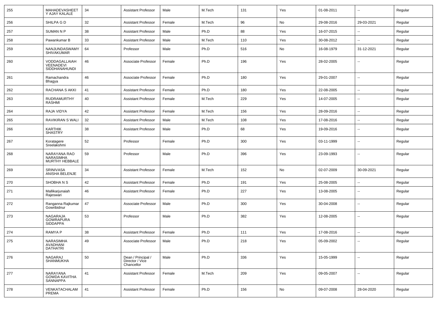| 255 | MAHADEVASHEET<br>Y AJAY KALALE                  | 34 | <b>Assistant Professor</b>                          | Male   | M.Tech | 131 | Yes           | 01-08-2011 | $\overline{\phantom{a}}$ | Regular |
|-----|-------------------------------------------------|----|-----------------------------------------------------|--------|--------|-----|---------------|------------|--------------------------|---------|
| 256 | SHILPA G D                                      | 32 | Assistant Professor                                 | Female | M.Tech | 96  | No            | 29-08-2016 | 29-03-2021               | Regular |
| 257 | <b>SUMAN N P</b>                                | 38 | <b>Assistant Professor</b>                          | Male   | Ph.D   | 88  | Yes           | 16-07-2015 | --                       | Regular |
| 258 | Pawankumar B                                    | 33 | <b>Assistant Professor</b>                          | Male   | M.Tech | 110 | Yes           | 30-08-2012 | $\overline{\phantom{a}}$ | Regular |
| 259 | NANJUNDASWAMY<br><b>SHIVAKUMAR</b>              | 64 | Professor                                           | Male   | Ph.D   | 516 | No            | 16-08-1979 | 31-12-2021               | Regular |
| 260 | VODDAGALLAIAH<br>VEENADEVI<br>SIDDHANAHUNDI     | 46 | Associate Professor                                 | Female | Ph.D   | 196 | Yes           | 28-02-2005 | --                       | Regular |
| 261 | Ramachandra<br>Bhagya                           | 46 | Associate Professor                                 | Female | Ph.D   | 180 | Yes           | 29-01-2007 | --                       | Regular |
| 262 | RACHANA S AKKI                                  | 41 | <b>Assistant Professor</b>                          | Female | Ph.D   | 180 | Yes           | 22-08-2005 | $\overline{\phantom{a}}$ | Regular |
| 263 | RUDRAMURTHY<br>RASHMI                           | 40 | <b>Assistant Professor</b>                          | Female | M.Tech | 229 | Yes           | 14-07-2005 | $\overline{\phantom{a}}$ | Regular |
| 264 | RAJA VIDYA                                      | 42 | <b>Assistant Professor</b>                          | Female | M.Tech | 156 | Yes           | 28-09-2016 | $\overline{\phantom{a}}$ | Regular |
| 265 | RAVIKIRAN S WALI                                | 32 | <b>Assistant Professor</b>                          | Male   | M.Tech | 108 | Yes           | 17-08-2016 | $\mathbf{u}$             | Regular |
| 266 | <b>KARTHIK</b><br><b>SHASTRY</b>                | 38 | <b>Assistant Professor</b>                          | Male   | Ph.D   | 68  | Yes           | 19-09-2016 | $\sim$                   | Regular |
| 267 | Koratagere<br>Sreelakshmi                       | 52 | Professor                                           | Female | Ph.D   | 300 | Yes           | 03-11-1999 | $\mathbf{u}$             | Regular |
| 268 | NARAYANA RAO<br>NARASIMHA<br>MURTHY HEBBALE     | 59 | Professor                                           | Male   | Ph.D   | 396 | Yes           | 23-09-1993 | $\mathbf{u}$             | Regular |
| 269 | SRINIVASA<br>ANISHA BELENJE                     | 34 | <b>Assistant Professor</b>                          | Female | M.Tech | 152 | No            | 02-07-2009 | 30-09-2021               | Regular |
| 270 | SHOBHANS                                        | 42 | Assistant Professor                                 | Female | Ph.D   | 191 | Yes           | 25-08-2005 | $\overline{\phantom{a}}$ | Regular |
| 271 | Mallikarjunaiah<br>Rajeswari                    | 46 | <b>Assistant Professor</b>                          | Female | Ph.D   | 227 | Yes           | 13-08-2005 | $\mathbf{u}$             | Regular |
| 272 | Ranganna Rajkumar<br>Gowribidnur                | 47 | Associate Professor                                 | Male   | Ph.D   | 300 | Yes           | 30-04-2008 | $\mathbf{u}$             | Regular |
| 273 | NAGARAJA<br><b>GOWRAPURA</b><br><b>SIDDAPPA</b> | 53 | Professor                                           | Male   | Ph.D   | 382 | Yes           | 12-08-2005 | $\mathbf{u}$             | Regular |
| 274 | <b>RAMYA P</b>                                  | 38 | <b>Assistant Professor</b>                          | Female | Ph.D   | 111 | Yes           | 17-08-2016 | $\mathbf{u}$             | Regular |
| 275 | NARASIMHA<br>AVADHANI<br><b>DATHATRI</b>        | 49 | Associate Professor                                 | Male   | Ph.D   | 218 | Yes           | 05-09-2002 | $\sim$                   | Regular |
| 276 | NAGARAJ<br>SHANMUKHA                            | 50 | Dean / Principal /<br>Director / Vice<br>Chancellor | Male   | Ph.D   | 336 | Yes           | 15-05-1999 | $\sim$                   | Regular |
| 277 | NARAYANA<br><b>GOWDA KAVITHA</b><br>SANNAPPA    | 41 | <b>Assistant Professor</b>                          | Female | M.Tech | 209 | Yes           | 09-05-2007 | $\sim$                   | Regular |
| 278 | VENKATACHALAM<br>PREMA                          | 41 | <b>Assistant Professor</b>                          | Female | Ph.D   | 156 | $\mathsf{No}$ | 09-07-2008 | 28-04-2020               | Regular |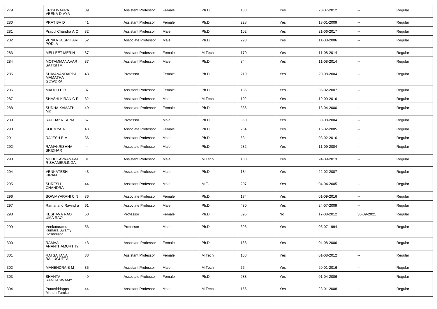| 279 | <b>KRISHNAPPA</b><br><b>VEENA DIVYA</b>          | 39 | <b>Assistant Professor</b> | Female | Ph.D   | 133 | Yes | 28-07-2012 | $\overline{\phantom{a}}$ | Regular |
|-----|--------------------------------------------------|----|----------------------------|--------|--------|-----|-----|------------|--------------------------|---------|
| 280 | PRATIBA D                                        | 41 | Assistant Professor        | Female | Ph.D   | 228 | Yes | 13-01-2009 | $\sim$                   | Regular |
| 281 | Prapul Chandra A C                               | 32 | <b>Assistant Professor</b> | Male   | Ph.D   | 102 | Yes | 21-06-2017 |                          | Regular |
| 282 | <b>VENKATA SRIHARI</b><br><b>PODLA</b>           | 52 | Associate Professor        | Male   | Ph.D   | 298 | Yes | 11-08-2006 |                          | Regular |
| 283 | <b>MELLEET MERIN</b>                             | 37 | <b>Assistant Professor</b> | Female | M.Tech | 170 | Yes | 11-08-2014 | $\overline{\phantom{a}}$ | Regular |
| 284 | MOTAMMANAVAR<br><b>SATISH V</b>                  | 37 | <b>Assistant Professor</b> | Male   | Ph.D   | 84  | Yes | 11-08-2014 | $\overline{\phantom{a}}$ | Regular |
| 285 | SHIVANANDAPPA<br><b>MAMATHA</b><br><b>GOWDRA</b> | 43 | Professor                  | Female | Ph.D   | 219 | Yes | 20-08-2004 | --                       | Regular |
| 286 | <b>MADHUBR</b>                                   | 37 | Assistant Professor        | Female | Ph.D   | 185 | Yes | 05-02-2007 |                          | Regular |
| 287 | SHASHI KIRAN C R                                 | 32 | Assistant Professor        | Male   | M.Tech | 102 | Yes | 19-09-2016 | $\overline{\phantom{a}}$ | Regular |
| 288 | SUDHA KAMATH<br>МK                               | 49 | Associate Professor        | Female | Ph.D   | 336 | Yes | 13-04-2000 | --                       | Regular |
| 289 | RADHAKRISHNA                                     | 57 | Professor                  | Male   | Ph.D   | 360 | Yes | 30-08-2004 |                          | Regular |
| 290 | SOUMYA A                                         | 43 | Associate Professor        | Female | Ph.D   | 254 | Yes | 16-02-2005 | $\mathbf{u}$             | Regular |
| 291 | RAJESH B M                                       | 36 | Assistant Professor        | Male   | Ph.D   | 68  | Yes | 03-02-2016 | $\sim$                   | Regular |
| 292 | RAMAKRISHNA<br><b>SRIDHAR</b>                    | 44 | Associate Professor        | Male   | Ph.D   | 282 | Yes | 11-09-2004 | --                       | Regular |
| 293 | MUDUKAVVANAVA<br>R SHAMBULINGA                   | 31 | <b>Assistant Professor</b> | Male   | M.Tech | 108 | Yes | 24-09-2013 | --                       | Regular |
| 294 | <b>VENKATESH</b><br>KIRAN                        | 43 | Associate Professor        | Male   | Ph.D   | 184 | Yes | 22-02-2007 | $\overline{\phantom{a}}$ | Regular |
| 295 | <b>SURESH</b><br><b>CHANDRA</b>                  | 44 | <b>Assistant Professor</b> | Male   | M.E.   | 207 | Yes | 04-04-2005 | --                       | Regular |
| 296 | SOWMYARANI C N                                   | 36 | Associate Professor        | Female | Ph.D   | 174 | Yes | 01-09-2016 | --                       | Regular |
| 297 | Ramanand Ravindra                                | 61 | Associate Professor        | Male   | Ph.D   | 430 | Yes | 24-07-2009 |                          | Regular |
| 298 | <b>KESHAVA RAO</b><br>UMA RAO                    | 58 | Professor                  | Female | Ph.D   | 396 | No  | 17-08-2012 | 30-09-2021               | Regular |
| 299 | Venkataramu<br>Kumara Swamy<br>Hosadurga         | 56 | Professor                  | Male   | Ph.D   | 396 | Yes | 03-07-1994 | $\sim$                   | Regular |
| 300 | RAMAA<br>ANANTHAMURTHY                           | 43 | Associate Professor        | Female | Ph.D   | 168 | Yes | 04-08-2006 | $\overline{\phantom{a}}$ | Regular |
| 301 | RAI SAHANA<br>BAILUGUTTA                         | 38 | <b>Assistant Professor</b> | Female | M.Tech | 108 | Yes | 01-08-2012 | $\sim$                   | Regular |
| 302 | MAHENDRA B M                                     | 35 | <b>Assistant Professor</b> | Male   | M.Tech | 66  | Yes | 20-01-2016 | $\sim$                   | Regular |
| 303 | <b>SHANTA</b><br>RANGASWAMY                      | 49 | Associate Professor        | Female | Ph.D   | 288 | Yes | 01-04-2006 | $\sim$                   | Regular |
| 304 | Puttasiddappa<br>Mithun Tumkur                   | 44 | <b>Assistant Professor</b> | Male   | M.Tech | 156 | Yes | 23-01-2008 | $\sim$                   | Regular |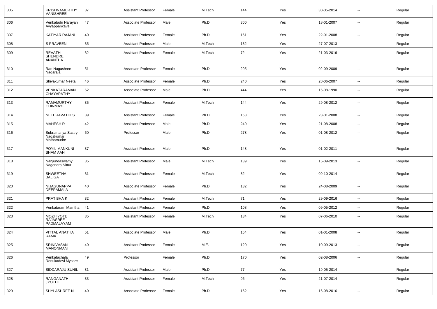| 305 | KRISHNAMURTHY<br>VANISHREE                         | 37     | Assistant Professor        | Female | M.Tech | 144 | Yes | 30-05-2014 |                          | Regular |
|-----|----------------------------------------------------|--------|----------------------------|--------|--------|-----|-----|------------|--------------------------|---------|
| 306 | Venkatadri Narayan<br>Ayyappankave                 | 47     | Associate Professor        | Male   | Ph.D   | 300 | Yes | 18-01-2007 | $\overline{\phantom{a}}$ | Regular |
| 307 | KATIYAR RAJANI                                     | 40     | Assistant Professor        | Female | Ph.D   | 161 | Yes | 22-01-2008 | $\overline{\phantom{a}}$ | Regular |
| 308 | S PRAVEEN                                          | 35     | <b>Assistant Professor</b> | Male   | M.Tech | 132 | Yes | 27-07-2013 | $\overline{\phantom{a}}$ | Regular |
| 309 | <b>REVATHI</b><br><b>SHENDRE</b><br><b>ANANTHA</b> | 32     | <b>Assistant Professor</b> | Female | M.Tech | 72  | Yes | 21-03-2016 | --                       | Regular |
| 310 | Rao Nagashree<br>Nagaraja                          | 51     | Associate Professor        | Female | Ph.D   | 295 | Yes | 02-09-2009 | $\overline{\phantom{a}}$ | Regular |
| 311 | Shivakumar Neeta                                   | 46     | Associate Professor        | Female | Ph.D   | 240 | Yes | 28-06-2007 | $\overline{\phantom{a}}$ | Regular |
| 312 | VENKATARAMAN<br><b>CHAYAPATHY</b>                  | 62     | Associate Professor        | Male   | Ph.D   | 444 | Yes | 16-08-1990 | $-$                      | Regular |
| 313 | RAMAMURTHY<br><b>CHINMAYE</b>                      | 35     | <b>Assistant Professor</b> | Female | M.Tech | 144 | Yes | 29-08-2012 | ۰.                       | Regular |
| 314 | NETHRAVATHI S                                      | 39     | <b>Assistant Professor</b> | Female | Ph.D   | 153 | Yes | 23-01-2008 | $\overline{a}$           | Regular |
| 315 | <b>MAHESH R</b>                                    | 42     | <b>Assistant Professor</b> | Male   | Ph.D   | 240 | Yes | 21-08-2008 | --                       | Regular |
| 316 | Subramanya Sastry<br>Nagakumar<br>Mathamudre       | 60     | Professor                  | Male   | Ph.D   | 278 | Yes | 01-08-2012 | Ξ.                       | Regular |
| 317 | POYIL MANKUNI<br><b>SHAM AAN</b>                   | 37     | <b>Assistant Professor</b> | Male   | Ph.D   | 148 | Yes | 01-02-2011 | --                       | Regular |
| 318 | Nanjundaswamy<br>Nagendra Nittur                   | 35     | <b>Assistant Professor</b> | Male   | M.Tech | 139 | Yes | 15-09-2013 | --                       | Regular |
| 319 | <b>SHWEETHA</b><br><b>BALIGA</b>                   | 31     | <b>Assistant Professor</b> | Female | M.Tech | 82  | Yes | 09-10-2014 |                          | Regular |
| 320 | NIJAGUNAPPA<br><b>DEEPAMALA</b>                    | 40     | Associate Professor        | Female | Ph.D   | 132 | Yes | 24-08-2009 |                          | Regular |
| 321 | PRATIBHA K                                         | 32     | Assistant Professor        | Female | M.Tech | 71  | Yes | 29-09-2016 | --                       | Regular |
| 322 | Venkataram Mamtha                                  | 41     | <b>Assistant Professor</b> | Female | Ph.D   | 108 | Yes | 09-05-2012 | $\overline{\phantom{a}}$ | Regular |
| 323 | <b>MOZHIYOTE</b><br>RAJASREE<br>PADMALAYAM         | 35     | <b>Assistant Professor</b> | Female | M.Tech | 134 | Yes | 07-06-2010 | ۰.                       | Regular |
| 324 | <b>VITTAL ANATHA</b><br><b>RAMA</b>                | 51     | Associate Professor        | Male   | Ph.D   | 154 | Yes | 01-01-2008 | $\overline{\phantom{a}}$ | Regular |
| 325 | SRINIVASAN<br><b>MANONMANI</b>                     | 40     | <b>Assistant Professor</b> | Female | M.E.   | 120 | Yes | 10-09-2013 | $\sim$                   | Regular |
| 326 | Venkatachala<br>Renukadevi Mysore                  | 49     | Professor                  | Female | Ph.D   | 170 | Yes | 02-08-2006 | u.                       | Regular |
| 327 | SIDDARAJU SUNIL                                    | 31     | Assistant Professor        | Male   | Ph.D   | 77  | Yes | 19-05-2014 | $\sim$                   | Regular |
| 328 | RANGANATH<br><b>JYOTHI</b>                         | $33\,$ | <b>Assistant Professor</b> | Female | M.Tech | 96  | Yes | 21-07-2014 | $\sim$                   | Regular |
| 329 | SHYLASHREE N                                       | $40\,$ | Associate Professor        | Female | Ph.D   | 162 | Yes | 16-08-2016 | Ξ.                       | Regular |